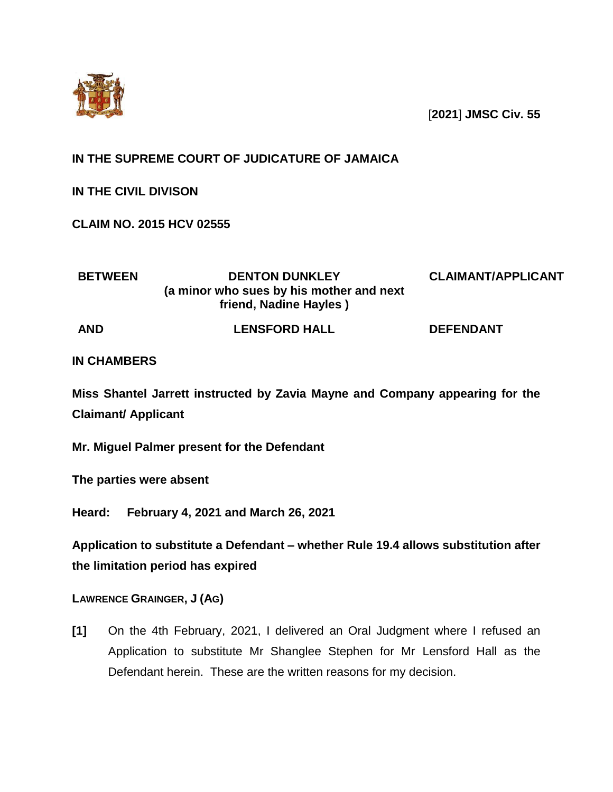

[**2021**] **JMSC Civ. 55**

# **IN THE SUPREME COURT OF JUDICATURE OF JAMAICA**

**IN THE CIVIL DIVISON**

**CLAIM NO. 2015 HCV 02555**

| <b>BETWEEN</b> | <b>DENTON DUNKLEY</b><br>(a minor who sues by his mother and next)<br>friend, Nadine Hayles) | <b>CLAIMANT/APPLICANT</b> |
|----------------|----------------------------------------------------------------------------------------------|---------------------------|
| <b>AND</b>     | <b>LENSFORD HALL</b>                                                                         | <b>DEFENDANT</b>          |

## **IN CHAMBERS**

**Miss Shantel Jarrett instructed by Zavia Mayne and Company appearing for the Claimant/ Applicant** 

**Mr. Miguel Palmer present for the Defendant**

**The parties were absent** 

**Heard: February 4, 2021 and March 26, 2021**

**Application to substitute a Defendant – whether Rule 19.4 allows substitution after the limitation period has expired** 

**LAWRENCE GRAINGER, J (AG)**

**[1]** On the 4th February, 2021, I delivered an Oral Judgment where I refused an Application to substitute Mr Shanglee Stephen for Mr Lensford Hall as the Defendant herein. These are the written reasons for my decision.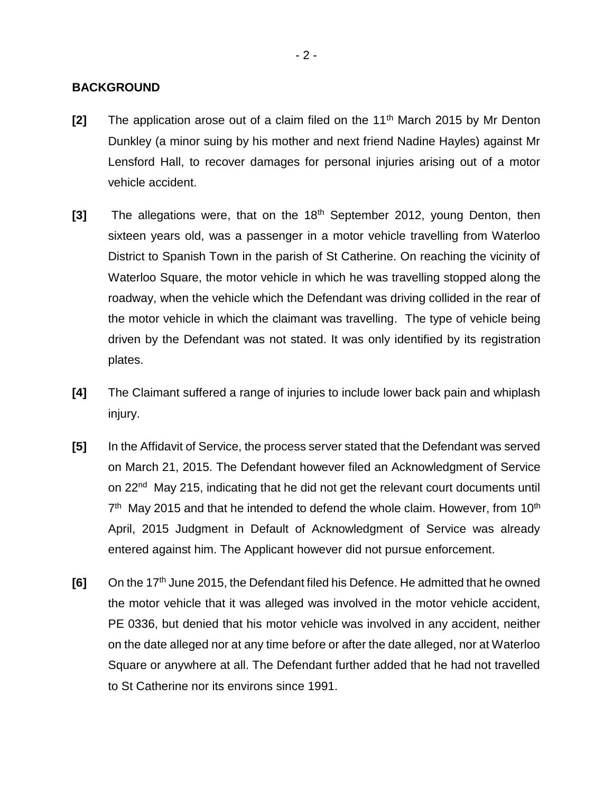#### **BACKGROUND**

- **[2]** The application arose out of a claim filed on the 11th March 2015 by Mr Denton Dunkley (a minor suing by his mother and next friend Nadine Hayles) against Mr Lensford Hall, to recover damages for personal injuries arising out of a motor vehicle accident.
- **[3]** The allegations were, that on the 18th September 2012, young Denton, then sixteen years old, was a passenger in a motor vehicle travelling from Waterloo District to Spanish Town in the parish of St Catherine. On reaching the vicinity of Waterloo Square, the motor vehicle in which he was travelling stopped along the roadway, when the vehicle which the Defendant was driving collided in the rear of the motor vehicle in which the claimant was travelling. The type of vehicle being driven by the Defendant was not stated. It was only identified by its registration plates.
- **[4]** The Claimant suffered a range of injuries to include lower back pain and whiplash injury.
- **[5]** In the Affidavit of Service, the process server stated that the Defendant was served on March 21, 2015. The Defendant however filed an Acknowledgment of Service on 22<sup>nd</sup> May 215, indicating that he did not get the relevant court documents until  $7<sup>th</sup>$  May 2015 and that he intended to defend the whole claim. However, from 10<sup>th</sup> April, 2015 Judgment in Default of Acknowledgment of Service was already entered against him. The Applicant however did not pursue enforcement.
- **[6]** On the 17th June 2015, the Defendant filed his Defence. He admitted that he owned the motor vehicle that it was alleged was involved in the motor vehicle accident, PE 0336, but denied that his motor vehicle was involved in any accident, neither on the date alleged nor at any time before or after the date alleged, nor at Waterloo Square or anywhere at all. The Defendant further added that he had not travelled to St Catherine nor its environs since 1991.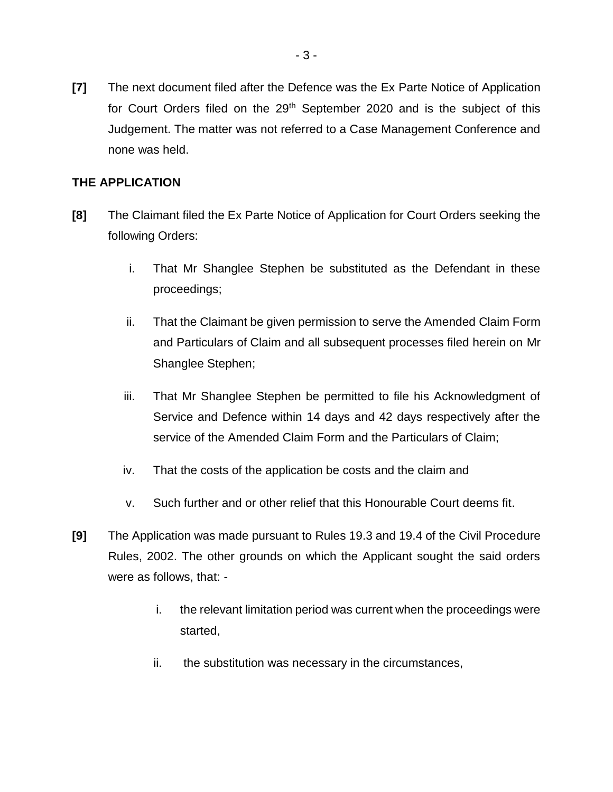**[7]** The next document filed after the Defence was the Ex Parte Notice of Application for Court Orders filed on the 29<sup>th</sup> September 2020 and is the subject of this Judgement. The matter was not referred to a Case Management Conference and none was held.

### **THE APPLICATION**

- **[8]** The Claimant filed the Ex Parte Notice of Application for Court Orders seeking the following Orders:
	- i. That Mr Shanglee Stephen be substituted as the Defendant in these proceedings;
	- ii. That the Claimant be given permission to serve the Amended Claim Form and Particulars of Claim and all subsequent processes filed herein on Mr Shanglee Stephen;
	- iii. That Mr Shanglee Stephen be permitted to file his Acknowledgment of Service and Defence within 14 days and 42 days respectively after the service of the Amended Claim Form and the Particulars of Claim;
	- iv. That the costs of the application be costs and the claim and
	- v. Such further and or other relief that this Honourable Court deems fit.
- **[9]** The Application was made pursuant to Rules 19.3 and 19.4 of the Civil Procedure Rules, 2002. The other grounds on which the Applicant sought the said orders were as follows, that:
	- i. the relevant limitation period was current when the proceedings were started,
	- ii. the substitution was necessary in the circumstances,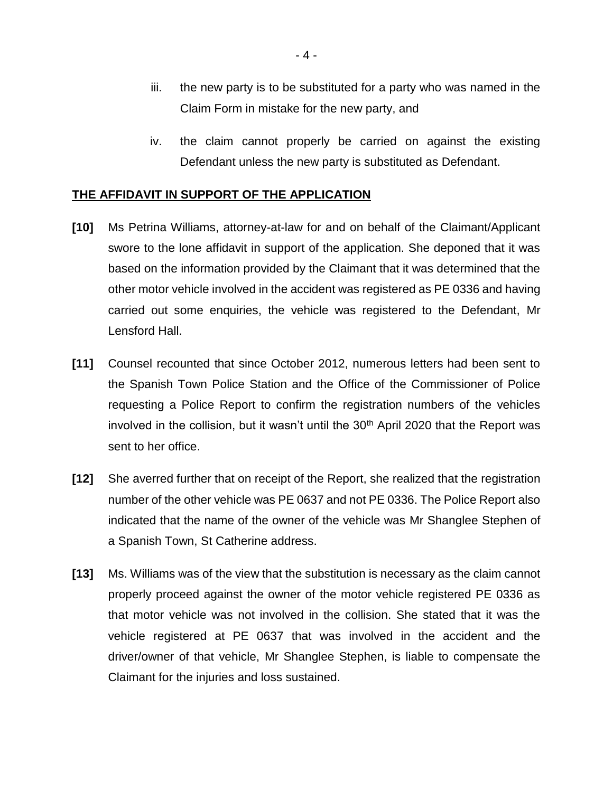- iii. the new party is to be substituted for a party who was named in the Claim Form in mistake for the new party, and
- iv. the claim cannot properly be carried on against the existing Defendant unless the new party is substituted as Defendant.

#### **THE AFFIDAVIT IN SUPPORT OF THE APPLICATION**

- **[10]** Ms Petrina Williams, attorney-at-law for and on behalf of the Claimant/Applicant swore to the lone affidavit in support of the application. She deponed that it was based on the information provided by the Claimant that it was determined that the other motor vehicle involved in the accident was registered as PE 0336 and having carried out some enquiries, the vehicle was registered to the Defendant, Mr Lensford Hall.
- **[11]** Counsel recounted that since October 2012, numerous letters had been sent to the Spanish Town Police Station and the Office of the Commissioner of Police requesting a Police Report to confirm the registration numbers of the vehicles involved in the collision, but it wasn't until the  $30<sup>th</sup>$  April 2020 that the Report was sent to her office.
- **[12]** She averred further that on receipt of the Report, she realized that the registration number of the other vehicle was PE 0637 and not PE 0336. The Police Report also indicated that the name of the owner of the vehicle was Mr Shanglee Stephen of a Spanish Town, St Catherine address.
- **[13]** Ms. Williams was of the view that the substitution is necessary as the claim cannot properly proceed against the owner of the motor vehicle registered PE 0336 as that motor vehicle was not involved in the collision. She stated that it was the vehicle registered at PE 0637 that was involved in the accident and the driver/owner of that vehicle, Mr Shanglee Stephen, is liable to compensate the Claimant for the injuries and loss sustained.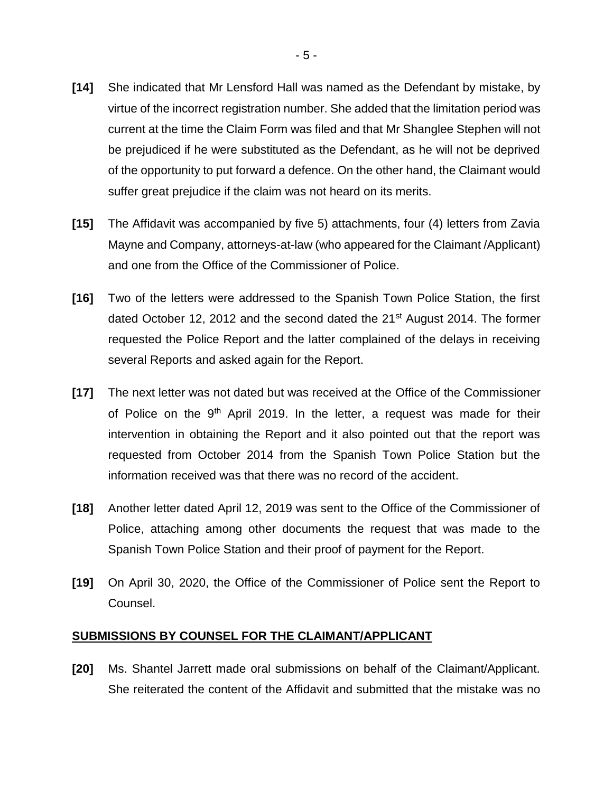- **[14]** She indicated that Mr Lensford Hall was named as the Defendant by mistake, by virtue of the incorrect registration number. She added that the limitation period was current at the time the Claim Form was filed and that Mr Shanglee Stephen will not be prejudiced if he were substituted as the Defendant, as he will not be deprived of the opportunity to put forward a defence. On the other hand, the Claimant would suffer great prejudice if the claim was not heard on its merits.
- **[15]** The Affidavit was accompanied by five 5) attachments, four (4) letters from Zavia Mayne and Company, attorneys-at-law (who appeared for the Claimant /Applicant) and one from the Office of the Commissioner of Police.
- **[16]** Two of the letters were addressed to the Spanish Town Police Station, the first dated October 12, 2012 and the second dated the  $21<sup>st</sup>$  August 2014. The former requested the Police Report and the latter complained of the delays in receiving several Reports and asked again for the Report.
- **[17]** The next letter was not dated but was received at the Office of the Commissioner of Police on the  $9<sup>th</sup>$  April 2019. In the letter, a request was made for their intervention in obtaining the Report and it also pointed out that the report was requested from October 2014 from the Spanish Town Police Station but the information received was that there was no record of the accident.
- **[18]** Another letter dated April 12, 2019 was sent to the Office of the Commissioner of Police, attaching among other documents the request that was made to the Spanish Town Police Station and their proof of payment for the Report.
- **[19]** On April 30, 2020, the Office of the Commissioner of Police sent the Report to Counsel.

#### **SUBMISSIONS BY COUNSEL FOR THE CLAIMANT/APPLICANT**

**[20]** Ms. Shantel Jarrett made oral submissions on behalf of the Claimant/Applicant. She reiterated the content of the Affidavit and submitted that the mistake was no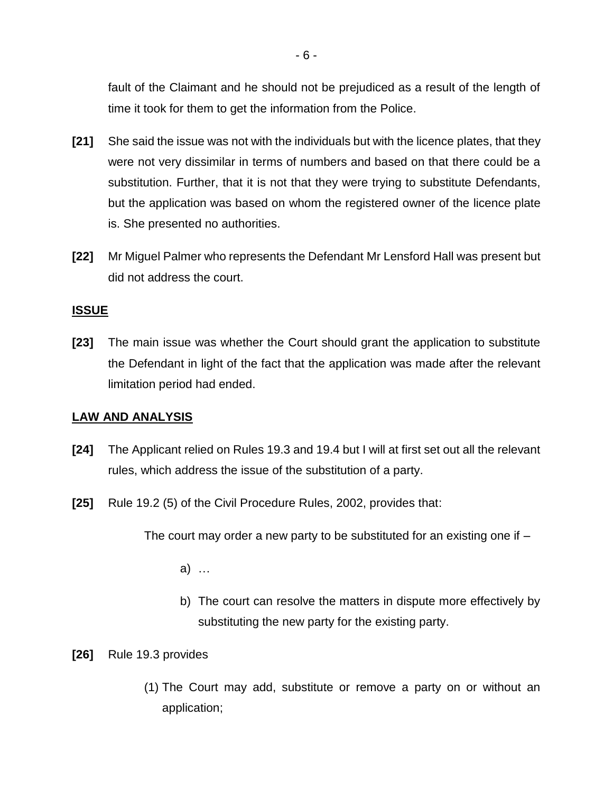fault of the Claimant and he should not be prejudiced as a result of the length of time it took for them to get the information from the Police.

- **[21]** She said the issue was not with the individuals but with the licence plates, that they were not very dissimilar in terms of numbers and based on that there could be a substitution. Further, that it is not that they were trying to substitute Defendants, but the application was based on whom the registered owner of the licence plate is. She presented no authorities.
- **[22]** Mr Miguel Palmer who represents the Defendant Mr Lensford Hall was present but did not address the court.

#### **ISSUE**

**[23]** The main issue was whether the Court should grant the application to substitute the Defendant in light of the fact that the application was made after the relevant limitation period had ended.

### **LAW AND ANALYSIS**

- **[24]** The Applicant relied on Rules 19.3 and 19.4 but I will at first set out all the relevant rules, which address the issue of the substitution of a party.
- **[25]** Rule 19.2 (5) of the Civil Procedure Rules, 2002, provides that:

The court may order a new party to be substituted for an existing one if –

a) …

- b) The court can resolve the matters in dispute more effectively by substituting the new party for the existing party.
- **[26]** Rule 19.3 provides
	- (1) The Court may add, substitute or remove a party on or without an application;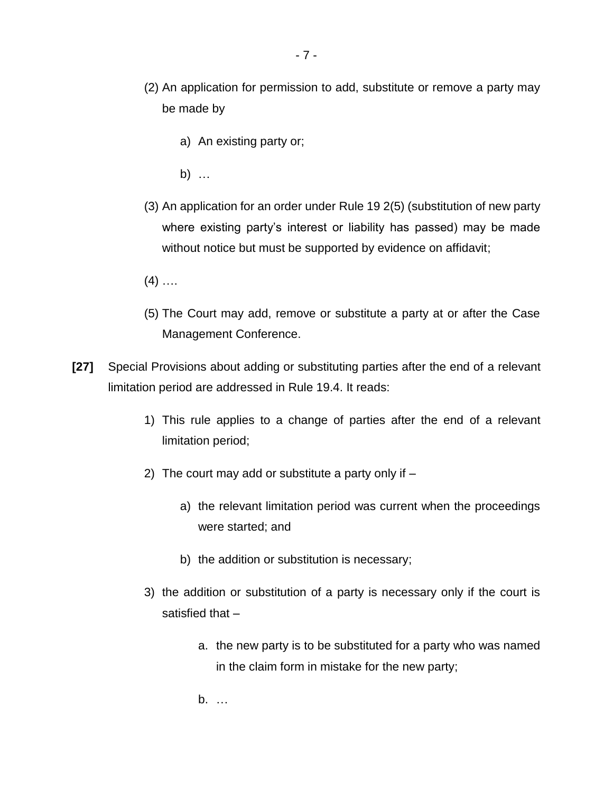- a) An existing party or;
- b) …

be made by

- (3) An application for an order under Rule 19 2(5) (substitution of new party where existing party's interest or liability has passed) may be made without notice but must be supported by evidence on affidavit;
- $(4)$  ....
- (5) The Court may add, remove or substitute a party at or after the Case Management Conference.
- **[27]** Special Provisions about adding or substituting parties after the end of a relevant limitation period are addressed in Rule 19.4. It reads:
	- 1) This rule applies to a change of parties after the end of a relevant limitation period;
	- 2) The court may add or substitute a party only if
		- a) the relevant limitation period was current when the proceedings were started; and
		- b) the addition or substitution is necessary;
	- 3) the addition or substitution of a party is necessary only if the court is satisfied that –
		- a. the new party is to be substituted for a party who was named in the claim form in mistake for the new party;
		- b. …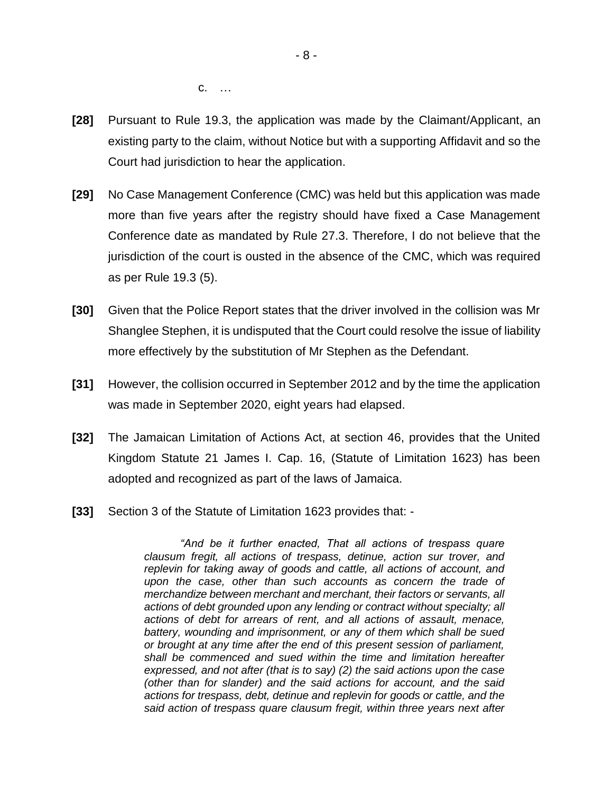c. …

- **[28]** Pursuant to Rule 19.3, the application was made by the Claimant/Applicant, an existing party to the claim, without Notice but with a supporting Affidavit and so the Court had jurisdiction to hear the application.
- **[29]** No Case Management Conference (CMC) was held but this application was made more than five years after the registry should have fixed a Case Management Conference date as mandated by Rule 27.3. Therefore, I do not believe that the jurisdiction of the court is ousted in the absence of the CMC, which was required as per Rule 19.3 (5).
- **[30]** Given that the Police Report states that the driver involved in the collision was Mr Shanglee Stephen, it is undisputed that the Court could resolve the issue of liability more effectively by the substitution of Mr Stephen as the Defendant.
- **[31]** However, the collision occurred in September 2012 and by the time the application was made in September 2020, eight years had elapsed.
- **[32]** The Jamaican Limitation of Actions Act, at section 46, provides that the United Kingdom Statute 21 James I. Cap. 16, (Statute of Limitation 1623) has been adopted and recognized as part of the laws of Jamaica.
- **[33]** Section 3 of the Statute of Limitation 1623 provides that: -

*"And be it further enacted, That all actions of trespass quare clausum fregit, all actions of trespass, detinue, action sur trover, and replevin for taking away of goods and cattle, all actions of account, and upon the case, other than such accounts as concern the trade of merchandize between merchant and merchant, their factors or servants, all actions of debt grounded upon any lending or contract without specialty; all actions of debt for arrears of rent, and all actions of assault, menace, battery, wounding and imprisonment, or any of them which shall be sued or brought at any time after the end of this present session of parliament, shall be commenced and sued within the time and limitation hereafter expressed, and not after (that is to say) (2) the said actions upon the case (other than for slander) and the said actions for account, and the said actions for trespass, debt, detinue and replevin for goods or cattle, and the said action of trespass quare clausum fregit, within three years next after*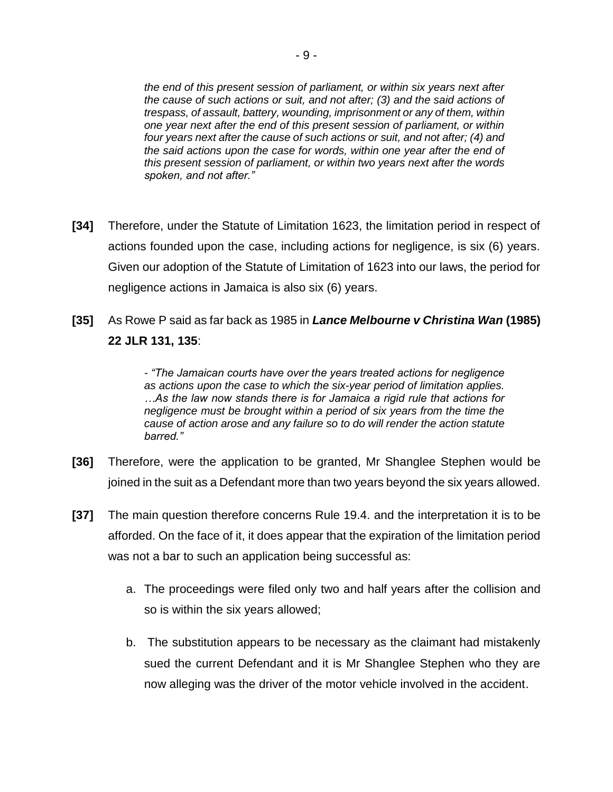*the end of this present session of parliament, or within six years next after the cause of such actions or suit, and not after; (3) and the said actions of trespass, of assault, battery, wounding, imprisonment or any of them, within one year next after the end of this present session of parliament, or within four years next after the cause of such actions or suit, and not after; (4) and the said actions upon the case for words, within one year after the end of this present session of parliament, or within two years next after the words spoken, and not after."*

- **[34]** Therefore, under the Statute of Limitation 1623, the limitation period in respect of actions founded upon the case, including actions for negligence, is six (6) years. Given our adoption of the Statute of Limitation of 1623 into our laws, the period for negligence actions in Jamaica is also six (6) years.
- **[35]** As Rowe P said as far back as 1985 in *Lance Melbourne v Christina Wan* **(1985) 22 JLR 131, 135**:

*- "The Jamaican courts have over the years treated actions for negligence as actions upon the case to which the six-year period of limitation applies. …As the law now stands there is for Jamaica a rigid rule that actions for negligence must be brought within a period of six years from the time the cause of action arose and any failure so to do will render the action statute barred."*

- **[36]** Therefore, were the application to be granted, Mr Shanglee Stephen would be joined in the suit as a Defendant more than two years beyond the six years allowed.
- **[37]** The main question therefore concerns Rule 19.4. and the interpretation it is to be afforded. On the face of it, it does appear that the expiration of the limitation period was not a bar to such an application being successful as:
	- a. The proceedings were filed only two and half years after the collision and so is within the six years allowed;
	- b. The substitution appears to be necessary as the claimant had mistakenly sued the current Defendant and it is Mr Shanglee Stephen who they are now alleging was the driver of the motor vehicle involved in the accident.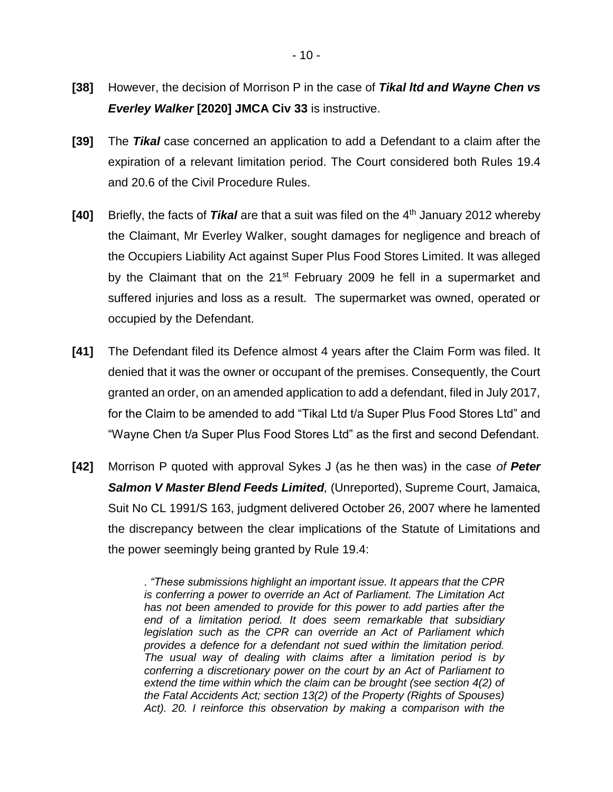- **[38]** However, the decision of Morrison P in the case of *Tikal ltd and Wayne Chen vs Everley Walker* **[2020] JMCA Civ 33** is instructive.
- **[39]** The *Tikal* case concerned an application to add a Defendant to a claim after the expiration of a relevant limitation period. The Court considered both Rules 19.4 and 20.6 of the Civil Procedure Rules.
- **[40]** Briefly, the facts of *Tikal* are that a suit was filed on the 4 th January 2012 whereby the Claimant, Mr Everley Walker, sought damages for negligence and breach of the Occupiers Liability Act against Super Plus Food Stores Limited. It was alleged by the Claimant that on the 21<sup>st</sup> February 2009 he fell in a supermarket and suffered injuries and loss as a result. The supermarket was owned, operated or occupied by the Defendant.
- **[41]** The Defendant filed its Defence almost 4 years after the Claim Form was filed. It denied that it was the owner or occupant of the premises. Consequently, the Court granted an order, on an amended application to add a defendant, filed in July 2017, for the Claim to be amended to add "Tikal Ltd t/a Super Plus Food Stores Ltd" and "Wayne Chen t/a Super Plus Food Stores Ltd" as the first and second Defendant.
- **[42]** Morrison P quoted with approval Sykes J (as he then was) in the case *of Peter Salmon V Master Blend Feeds Limited,* (Unreported), Supreme Court, Jamaica, Suit No CL 1991/S 163, judgment delivered October 26, 2007 where he lamented the discrepancy between the clear implications of the Statute of Limitations and the power seemingly being granted by Rule 19.4:

*. "These submissions highlight an important issue. It appears that the CPR is conferring a power to override an Act of Parliament. The Limitation Act has not been amended to provide for this power to add parties after the end of a limitation period. It does seem remarkable that subsidiary legislation such as the CPR can override an Act of Parliament which provides a defence for a defendant not sued within the limitation period. The usual way of dealing with claims after a limitation period is by conferring a discretionary power on the court by an Act of Parliament to extend the time within which the claim can be brought (see section 4(2) of the Fatal Accidents Act; section 13(2) of the Property (Rights of Spouses) Act). 20. I reinforce this observation by making a comparison with the*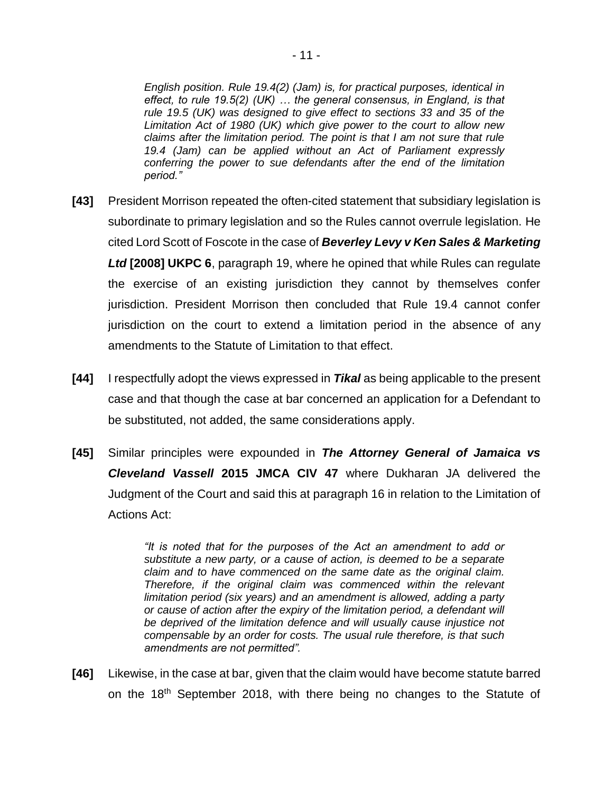*English position. Rule 19.4(2) (Jam) is, for practical purposes, identical in effect, to rule 19.5(2) (UK) … the general consensus, in England, is that rule 19.5 (UK) was designed to give effect to sections 33 and 35 of the Limitation Act of 1980 (UK) which give power to the court to allow new claims after the limitation period. The point is that I am not sure that rule 19.4 (Jam) can be applied without an Act of Parliament expressly conferring the power to sue defendants after the end of the limitation period."* 

- **[43]** President Morrison repeated the often-cited statement that subsidiary legislation is subordinate to primary legislation and so the Rules cannot overrule legislation. He cited Lord Scott of Foscote in the case of *Beverley Levy v Ken Sales & Marketing Ltd* **[2008] UKPC 6**, paragraph 19, where he opined that while Rules can regulate the exercise of an existing jurisdiction they cannot by themselves confer jurisdiction. President Morrison then concluded that Rule 19.4 cannot confer jurisdiction on the court to extend a limitation period in the absence of any amendments to the Statute of Limitation to that effect.
- **[44]** I respectfully adopt the views expressed in *Tikal* as being applicable to the present case and that though the case at bar concerned an application for a Defendant to be substituted, not added, the same considerations apply.
- **[45]** Similar principles were expounded in *The Attorney General of Jamaica vs Cleveland Vassell* **2015 JMCA CIV 47** where Dukharan JA delivered the Judgment of the Court and said this at paragraph 16 in relation to the Limitation of Actions Act:

*"It is noted that for the purposes of the Act an amendment to add or substitute a new party, or a cause of action, is deemed to be a separate claim and to have commenced on the same date as the original claim. Therefore, if the original claim was commenced within the relevant limitation period (six years) and an amendment is allowed, adding a party or cause of action after the expiry of the limitation period, a defendant will be deprived of the limitation defence and will usually cause injustice not compensable by an order for costs. The usual rule therefore, is that such amendments are not permitted".* 

**[46]** Likewise, in the case at bar, given that the claim would have become statute barred on the  $18<sup>th</sup>$  September 2018, with there being no changes to the Statute of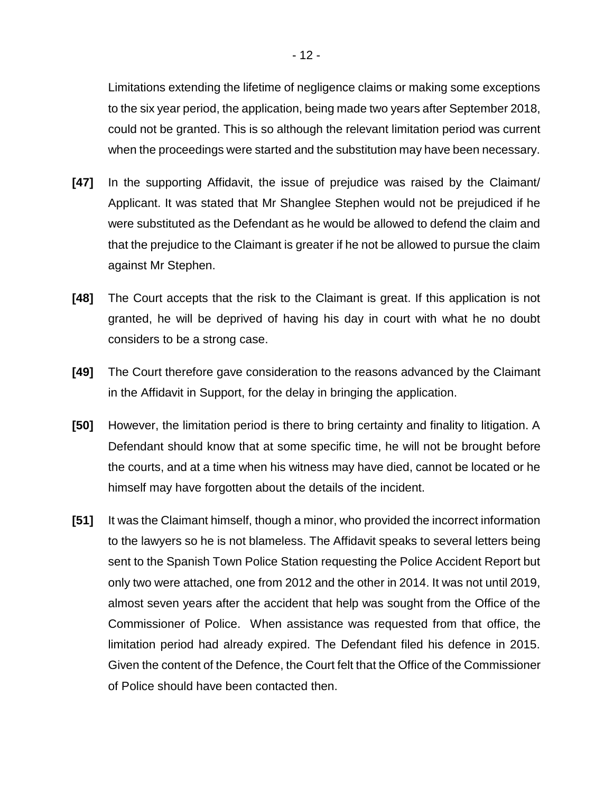Limitations extending the lifetime of negligence claims or making some exceptions to the six year period, the application, being made two years after September 2018, could not be granted. This is so although the relevant limitation period was current when the proceedings were started and the substitution may have been necessary.

- **[47]** In the supporting Affidavit, the issue of prejudice was raised by the Claimant/ Applicant. It was stated that Mr Shanglee Stephen would not be prejudiced if he were substituted as the Defendant as he would be allowed to defend the claim and that the prejudice to the Claimant is greater if he not be allowed to pursue the claim against Mr Stephen.
- **[48]** The Court accepts that the risk to the Claimant is great. If this application is not granted, he will be deprived of having his day in court with what he no doubt considers to be a strong case.
- **[49]** The Court therefore gave consideration to the reasons advanced by the Claimant in the Affidavit in Support, for the delay in bringing the application.
- **[50]** However, the limitation period is there to bring certainty and finality to litigation. A Defendant should know that at some specific time, he will not be brought before the courts, and at a time when his witness may have died, cannot be located or he himself may have forgotten about the details of the incident.
- **[51]** It was the Claimant himself, though a minor, who provided the incorrect information to the lawyers so he is not blameless. The Affidavit speaks to several letters being sent to the Spanish Town Police Station requesting the Police Accident Report but only two were attached, one from 2012 and the other in 2014. It was not until 2019, almost seven years after the accident that help was sought from the Office of the Commissioner of Police. When assistance was requested from that office, the limitation period had already expired. The Defendant filed his defence in 2015. Given the content of the Defence, the Court felt that the Office of the Commissioner of Police should have been contacted then.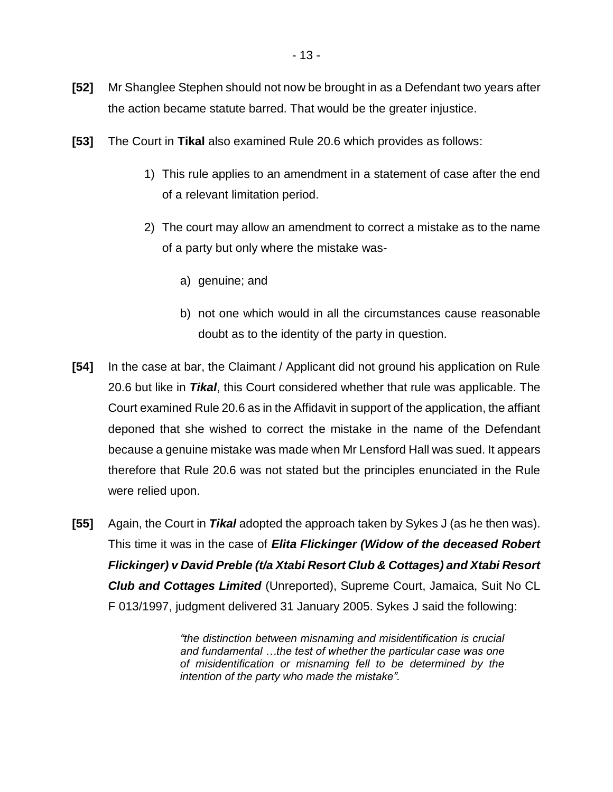- **[52]** Mr Shanglee Stephen should not now be brought in as a Defendant two years after the action became statute barred. That would be the greater injustice.
- **[53]** The Court in **Tikal** also examined Rule 20.6 which provides as follows:
	- 1) This rule applies to an amendment in a statement of case after the end of a relevant limitation period.
	- 2) The court may allow an amendment to correct a mistake as to the name of a party but only where the mistake was
		- a) genuine; and
		- b) not one which would in all the circumstances cause reasonable doubt as to the identity of the party in question.
- **[54]** In the case at bar, the Claimant / Applicant did not ground his application on Rule 20.6 but like in *Tikal*, this Court considered whether that rule was applicable. The Court examined Rule 20.6 as in the Affidavit in support of the application, the affiant deponed that she wished to correct the mistake in the name of the Defendant because a genuine mistake was made when Mr Lensford Hall was sued. It appears therefore that Rule 20.6 was not stated but the principles enunciated in the Rule were relied upon.
- **[55]** Again, the Court in *Tikal* adopted the approach taken by Sykes J (as he then was). This time it was in the case of *Elita Flickinger (Widow of the deceased Robert Flickinger) v David Preble (t/a Xtabi Resort Club & Cottages) and Xtabi Resort Club and Cottages Limited* (Unreported), Supreme Court, Jamaica, Suit No CL F 013/1997, judgment delivered 31 January 2005. Sykes J said the following:

*"the distinction between misnaming and misidentification is crucial and fundamental …the test of whether the particular case was one of misidentification or misnaming fell to be determined by the intention of the party who made the mistake".*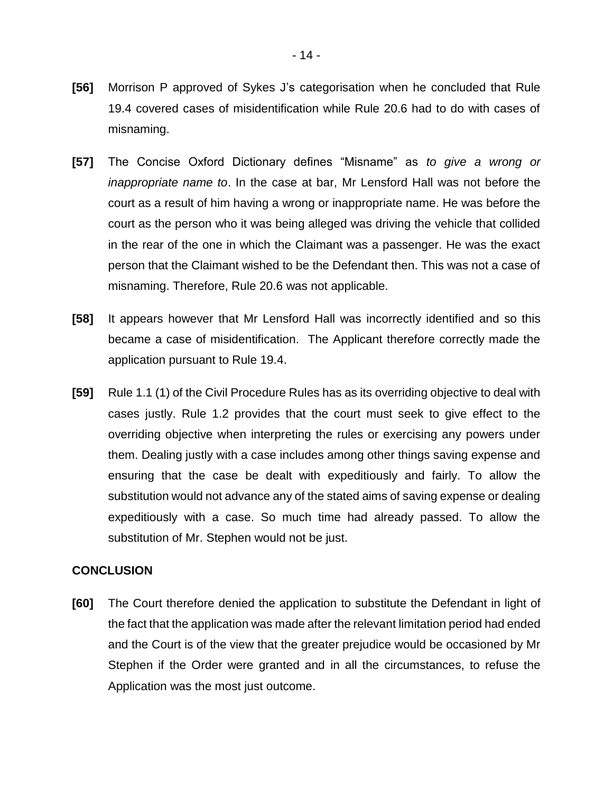- **[56]** Morrison P approved of Sykes J's categorisation when he concluded that Rule 19.4 covered cases of misidentification while Rule 20.6 had to do with cases of misnaming.
- **[57]** The Concise Oxford Dictionary defines "Misname" as *to give a wrong or inappropriate name to*. In the case at bar, Mr Lensford Hall was not before the court as a result of him having a wrong or inappropriate name. He was before the court as the person who it was being alleged was driving the vehicle that collided in the rear of the one in which the Claimant was a passenger. He was the exact person that the Claimant wished to be the Defendant then. This was not a case of misnaming. Therefore, Rule 20.6 was not applicable.
- **[58]** It appears however that Mr Lensford Hall was incorrectly identified and so this became a case of misidentification. The Applicant therefore correctly made the application pursuant to Rule 19.4.
- **[59]** Rule 1.1 (1) of the Civil Procedure Rules has as its overriding objective to deal with cases justly. Rule 1.2 provides that the court must seek to give effect to the overriding objective when interpreting the rules or exercising any powers under them. Dealing justly with a case includes among other things saving expense and ensuring that the case be dealt with expeditiously and fairly. To allow the substitution would not advance any of the stated aims of saving expense or dealing expeditiously with a case. So much time had already passed. To allow the substitution of Mr. Stephen would not be just.

#### **CONCLUSION**

**[60]** The Court therefore denied the application to substitute the Defendant in light of the fact that the application was made after the relevant limitation period had ended and the Court is of the view that the greater prejudice would be occasioned by Mr Stephen if the Order were granted and in all the circumstances, to refuse the Application was the most just outcome.